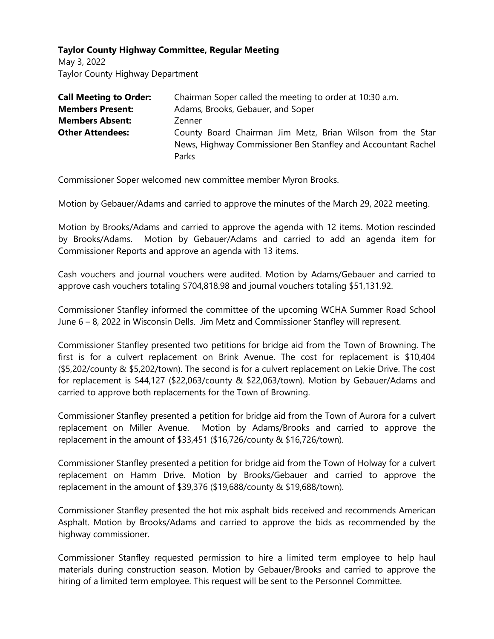## **Taylor County Highway Committee, Regular Meeting**

May 3, 2022 Taylor County Highway Department

| <b>Call Meeting to Order:</b> | Chairman Soper called the meeting to order at 10:30 a.m.                                                                             |
|-------------------------------|--------------------------------------------------------------------------------------------------------------------------------------|
| <b>Members Present:</b>       | Adams, Brooks, Gebauer, and Soper                                                                                                    |
| <b>Members Absent:</b>        | Zenner                                                                                                                               |
| <b>Other Attendees:</b>       | County Board Chairman Jim Metz, Brian Wilson from the Star<br>News, Highway Commissioner Ben Stanfley and Accountant Rachel<br>Parks |

Commissioner Soper welcomed new committee member Myron Brooks.

Motion by Gebauer/Adams and carried to approve the minutes of the March 29, 2022 meeting.

Motion by Brooks/Adams and carried to approve the agenda with 12 items. Motion rescinded by Brooks/Adams. Motion by Gebauer/Adams and carried to add an agenda item for Commissioner Reports and approve an agenda with 13 items.

Cash vouchers and journal vouchers were audited. Motion by Adams/Gebauer and carried to approve cash vouchers totaling \$704,818.98 and journal vouchers totaling \$51,131.92.

Commissioner Stanfley informed the committee of the upcoming WCHA Summer Road School June 6 – 8, 2022 in Wisconsin Dells. Jim Metz and Commissioner Stanfley will represent.

Commissioner Stanfley presented two petitions for bridge aid from the Town of Browning. The first is for a culvert replacement on Brink Avenue. The cost for replacement is \$10,404 (\$5,202/county & \$5,202/town). The second is for a culvert replacement on Lekie Drive. The cost for replacement is \$44,127 (\$22,063/county & \$22,063/town). Motion by Gebauer/Adams and carried to approve both replacements for the Town of Browning.

Commissioner Stanfley presented a petition for bridge aid from the Town of Aurora for a culvert replacement on Miller Avenue. Motion by Adams/Brooks and carried to approve the replacement in the amount of \$33,451 (\$16,726/county & \$16,726/town).

Commissioner Stanfley presented a petition for bridge aid from the Town of Holway for a culvert replacement on Hamm Drive. Motion by Brooks/Gebauer and carried to approve the replacement in the amount of \$39,376 (\$19,688/county & \$19,688/town).

Commissioner Stanfley presented the hot mix asphalt bids received and recommends American Asphalt. Motion by Brooks/Adams and carried to approve the bids as recommended by the highway commissioner.

Commissioner Stanfley requested permission to hire a limited term employee to help haul materials during construction season. Motion by Gebauer/Brooks and carried to approve the hiring of a limited term employee. This request will be sent to the Personnel Committee.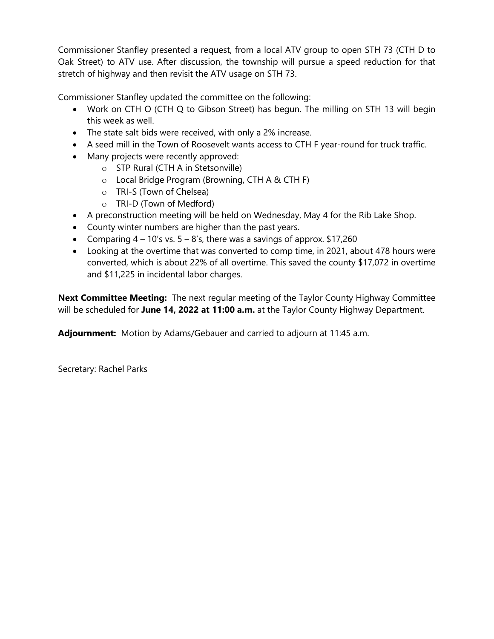Commissioner Stanfley presented a request, from a local ATV group to open STH 73 (CTH D to Oak Street) to ATV use. After discussion, the township will pursue a speed reduction for that stretch of highway and then revisit the ATV usage on STH 73.

Commissioner Stanfley updated the committee on the following:

- Work on CTH O (CTH Q to Gibson Street) has begun. The milling on STH 13 will begin this week as well.
- The state salt bids were received, with only a 2% increase.
- A seed mill in the Town of Roosevelt wants access to CTH F year-round for truck traffic.
- Many projects were recently approved:
	- o STP Rural (CTH A in Stetsonville)
	- o Local Bridge Program (Browning, CTH A & CTH F)
	- o TRI-S (Town of Chelsea)
	- o TRI-D (Town of Medford)
- A preconstruction meeting will be held on Wednesday, May 4 for the Rib Lake Shop.
- County winter numbers are higher than the past years.
- Comparing  $4 10$ 's vs.  $5 8$ 's, there was a savings of approx. \$17,260
- Looking at the overtime that was converted to comp time, in 2021, about 478 hours were converted, which is about 22% of all overtime. This saved the county \$17,072 in overtime and \$11,225 in incidental labor charges.

**Next Committee Meeting:** The next regular meeting of the Taylor County Highway Committee will be scheduled for **June 14, 2022 at 11:00 a.m.** at the Taylor County Highway Department.

**Adjournment:** Motion by Adams/Gebauer and carried to adjourn at 11:45 a.m.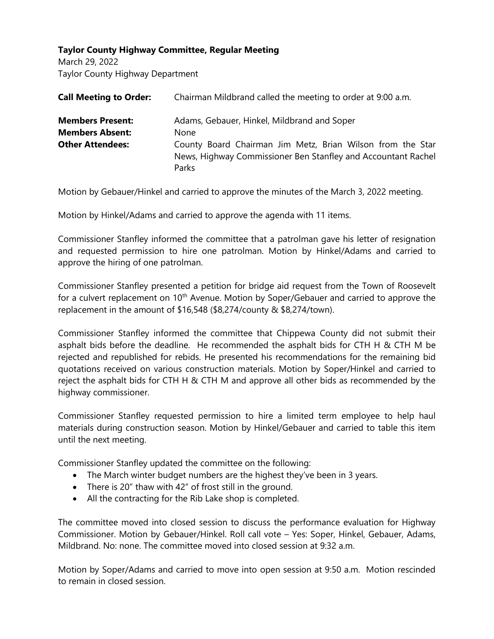## **Taylor County Highway Committee, Regular Meeting**

March 29, 2022 Taylor County Highway Department

| <b>Call Meeting to Order:</b> | Chairman Mildbrand called the meeting to order at 9:00 a.m.                                                                          |
|-------------------------------|--------------------------------------------------------------------------------------------------------------------------------------|
| <b>Members Present:</b>       | Adams, Gebauer, Hinkel, Mildbrand and Soper                                                                                          |
| <b>Members Absent:</b>        | None                                                                                                                                 |
| <b>Other Attendees:</b>       | County Board Chairman Jim Metz, Brian Wilson from the Star<br>News, Highway Commissioner Ben Stanfley and Accountant Rachel<br>Parks |

Motion by Gebauer/Hinkel and carried to approve the minutes of the March 3, 2022 meeting.

Motion by Hinkel/Adams and carried to approve the agenda with 11 items.

Commissioner Stanfley informed the committee that a patrolman gave his letter of resignation and requested permission to hire one patrolman. Motion by Hinkel/Adams and carried to approve the hiring of one patrolman.

Commissioner Stanfley presented a petition for bridge aid request from the Town of Roosevelt for a culvert replacement on 10<sup>th</sup> Avenue. Motion by Soper/Gebauer and carried to approve the replacement in the amount of \$16,548 (\$8,274/county & \$8,274/town).

Commissioner Stanfley informed the committee that Chippewa County did not submit their asphalt bids before the deadline. He recommended the asphalt bids for CTH H  $\&$  CTH M be rejected and republished for rebids. He presented his recommendations for the remaining bid quotations received on various construction materials. Motion by Soper/Hinkel and carried to reject the asphalt bids for CTH H & CTH M and approve all other bids as recommended by the highway commissioner.

Commissioner Stanfley requested permission to hire a limited term employee to help haul materials during construction season. Motion by Hinkel/Gebauer and carried to table this item until the next meeting.

Commissioner Stanfley updated the committee on the following:

- The March winter budget numbers are the highest they've been in 3 years.
- There is 20" thaw with 42" of frost still in the ground.
- All the contracting for the Rib Lake shop is completed.

The committee moved into closed session to discuss the performance evaluation for Highway Commissioner. Motion by Gebauer/Hinkel. Roll call vote – Yes: Soper, Hinkel, Gebauer, Adams, Mildbrand. No: none. The committee moved into closed session at 9:32 a.m.

Motion by Soper/Adams and carried to move into open session at 9:50 a.m. Motion rescinded to remain in closed session.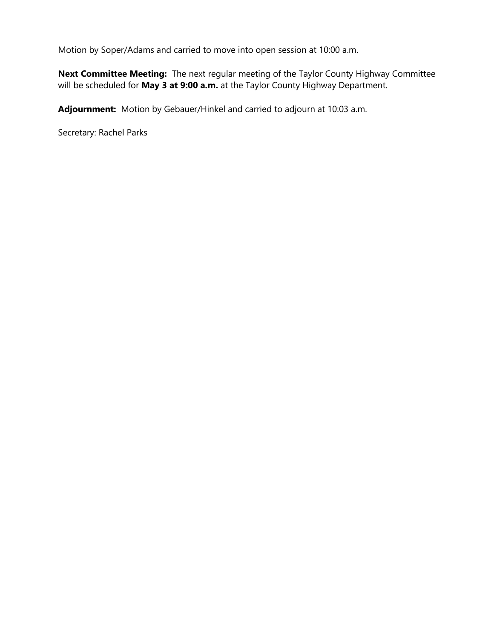Motion by Soper/Adams and carried to move into open session at 10:00 a.m.

**Next Committee Meeting:** The next regular meeting of the Taylor County Highway Committee will be scheduled for **May 3 at 9:00 a.m.** at the Taylor County Highway Department.

**Adjournment:** Motion by Gebauer/Hinkel and carried to adjourn at 10:03 a.m.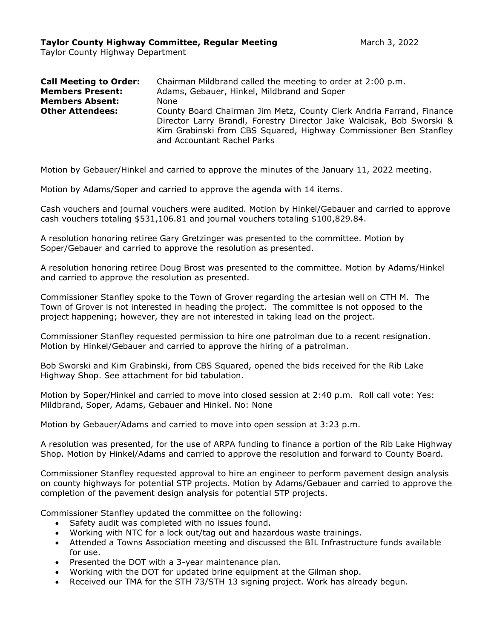Taylor County Highway Department

| <b>Call Meeting to Order:</b><br><b>Members Present:</b> | Chairman Mildbrand called the meeting to order at 2:00 p.m.<br>Adams, Gebauer, Hinkel, Mildbrand and Soper                                                                                                                                        |
|----------------------------------------------------------|---------------------------------------------------------------------------------------------------------------------------------------------------------------------------------------------------------------------------------------------------|
|                                                          |                                                                                                                                                                                                                                                   |
| <b>Members Absent:</b>                                   | None                                                                                                                                                                                                                                              |
| <b>Other Attendees:</b>                                  | County Board Chairman Jim Metz, County Clerk Andria Farrand, Finance<br>Director Larry Brandl, Forestry Director Jake Walcisak, Bob Sworski &<br>Kim Grabinski from CBS Squared, Highway Commissioner Ben Stanfley<br>and Accountant Rachel Parks |

Motion by Gebauer/Hinkel and carried to approve the minutes of the January 11, 2022 meeting.

Motion by Adams/Soper and carried to approve the agenda with 14 items.

Cash vouchers and journal vouchers were audited. Motion by Hinkel/Gebauer and carried to approve cash vouchers totaling \$531,106.81 and journal vouchers totaling \$100,829.84.

A resolution honoring retiree Gary Gretzinger was presented to the committee. Motion by Soper/Gebauer and carried to approve the resolution as presented.

A resolution honoring retiree Doug Brost was presented to the committee. Motion by Adams/Hinkel and carried to approve the resolution as presented.

Commissioner Stanfley spoke to the Town of Grover regarding the artesian well on CTH M. The Town of Grover is not interested in heading the project. The committee is not opposed to the project happening; however, they are not interested in taking lead on the project.

Commissioner Stanfley requested permission to hire one patrolman due to a recent resignation. Motion by Hinkel/Gebauer and carried to approve the hiring of a patrolman.

Bob Sworski and Kim Grabinski, from CBS Squared, opened the bids received for the Rib Lake Highway Shop. See attachment for bid tabulation.

Motion by Soper/Hinkel and carried to move into closed session at 2:40 p.m. Roll call vote: Yes: Mildbrand, Soper, Adams, Gebauer and Hinkel. No: None

Motion by Gebauer/Adams and carried to move into open session at 3:23 p.m.

A resolution was presented, for the use of ARPA funding to finance a portion of the Rib Lake Highway Shop. Motion by Hinkel/Adams and carried to approve the resolution and forward to County Board.

Commissioner Stanfley requested approval to hire an engineer to perform pavement design analysis on county highways for potential STP projects. Motion by Adams/Gebauer and carried to approve the completion of the pavement design analysis for potential STP projects.

Commissioner Stanfley updated the committee on the following:

- Safety audit was completed with no issues found.
- Working with NTC for a lock out/tag out and hazardous waste trainings.
- Attended a Towns Association meeting and discussed the BIL Infrastructure funds available for use.
- Presented the DOT with a 3-year maintenance plan.
- Working with the DOT for updated brine equipment at the Gilman shop.
- Received our TMA for the STH 73/STH 13 signing project. Work has already begun.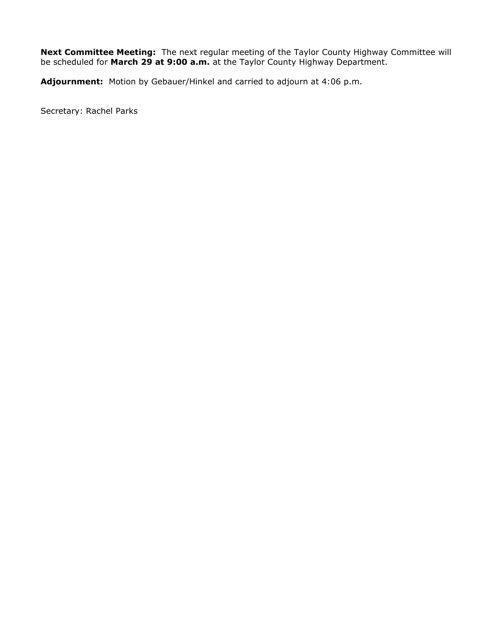**Next Committee Meeting:** The next regular meeting of the Taylor County Highway Committee will be scheduled for **March 29 at 9:00 a.m.** at the Taylor County Highway Department.

**Adjournment:** Motion by Gebauer/Hinkel and carried to adjourn at 4:06 p.m.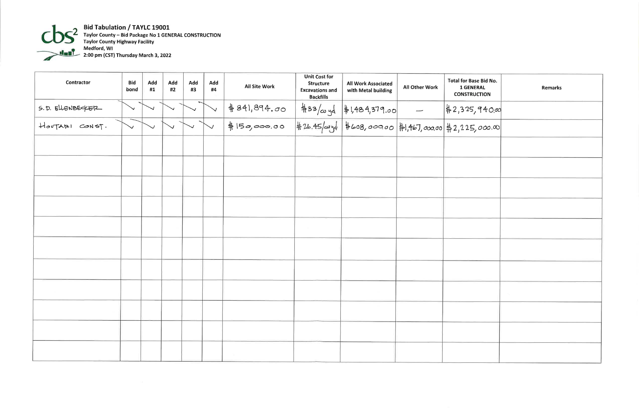

Bid Tabulation / TAYLC 19001<br>Taylor County – Bid Package No 1 GENERAL CONSTRUCTION<br>Taylor County Highway Facility<br>Medford, WI<br>2:00 pm (CST) Thursday March 3, 2022

|                  | <b>Contractor</b> | <b>Bid</b><br>bond | Add<br>#1 | Add<br>#2 | Add<br>#3 | Add<br>#4 | All Site Work | <b>Unit Cost for</b><br><b>Structure</b><br><b>Excavations and</b><br><b>Backfills</b> | <b>All Work Associated</b><br>with Metal building                                        | All Other Work | <b>Total for B</b><br>1 GEI<br><b>CONSTF</b> |
|------------------|-------------------|--------------------|-----------|-----------|-----------|-----------|---------------|----------------------------------------------------------------------------------------|------------------------------------------------------------------------------------------|----------------|----------------------------------------------|
| S.D. ELLENBECKER |                   |                    |           |           |           |           | #841,894.00   |                                                                                        |                                                                                          |                |                                              |
| HOUTARI CONST.   |                   |                    |           |           |           |           | $+150,000.00$ |                                                                                        | \$33/cu yd \$1,484,379.00 - \$2,325<br>\$26.45/cu yd \$608,000.00 \$1,467,000.00 \$2,22? |                |                                              |
|                  |                   |                    |           |           |           |           |               |                                                                                        |                                                                                          |                |                                              |
|                  |                   |                    |           |           |           |           |               |                                                                                        |                                                                                          |                |                                              |
|                  |                   |                    |           |           |           |           |               |                                                                                        |                                                                                          |                |                                              |
|                  |                   |                    |           |           |           |           |               |                                                                                        |                                                                                          |                |                                              |
|                  |                   |                    |           |           |           |           |               |                                                                                        |                                                                                          |                |                                              |
|                  |                   |                    |           |           |           |           |               |                                                                                        |                                                                                          |                |                                              |
|                  |                   |                    |           |           |           |           |               |                                                                                        |                                                                                          |                |                                              |
|                  |                   |                    |           |           |           |           |               |                                                                                        |                                                                                          |                |                                              |
|                  |                   |                    |           |           |           |           |               |                                                                                        |                                                                                          |                |                                              |
|                  |                   |                    |           |           |           |           |               |                                                                                        |                                                                                          |                |                                              |
|                  |                   |                    |           |           |           |           |               |                                                                                        |                                                                                          |                |                                              |
|                  |                   |                    |           |           |           |           |               |                                                                                        |                                                                                          |                |                                              |

| Base Bid No.<br><b>NERAL</b><br><b>RUCTION</b> | Remarks |
|------------------------------------------------|---------|
| 5,940.00<br>5,000.00                           |         |
|                                                |         |
|                                                |         |
|                                                |         |
|                                                |         |
|                                                |         |
|                                                |         |
|                                                |         |
|                                                |         |
|                                                |         |
|                                                |         |
|                                                |         |
|                                                |         |
|                                                |         |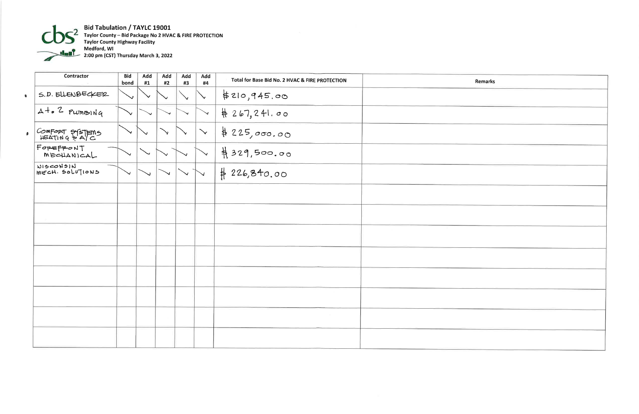

Bid Tabulation / TAYLC 19001<br>Taylor County – Bid Package No 2 HVAC & FIRE PROTECTION<br>Taylor County Highway Facility<br>Medford, WI<br>2:00 pm (CST) Thursday March 3, 2022

|              | Contractor                   | <b>Bid</b><br>bond | Add<br>#1    | Add<br>#2    | Add<br>#3  | Add<br>#4    | Total for Base Bid No. 2 HVAC & FIRE PROTECTION | Remarks |
|--------------|------------------------------|--------------------|--------------|--------------|------------|--------------|-------------------------------------------------|---------|
| $\bullet$    | S.D. ELLENBECKER             | $\checkmark$       | $\checkmark$ | $\checkmark$ |            | $\mathbf{v}$ | \$210,945.00                                    |         |
|              | $A + 2$ PLUMBING             | $\checkmark$       |              | $\checkmark$ |            | $\checkmark$ | $\# 267, 241.00$                                |         |
| $\mathbf{B}$ | COMFORT SYSTEMS              |                    | $\checkmark$ | $\searrow$   |            | $\checkmark$ | \$225,000.00                                    |         |
|              | FOREFRONT<br>MECHANICAL      |                    |              |              |            |              | #329,500.00                                     |         |
|              | NISCONSIN<br>MECH. SOLUTIONS |                    |              |              | $\searrow$ | $\vee$       | #226,840.00                                     |         |
|              |                              |                    |              |              |            |              |                                                 |         |
|              |                              |                    |              |              |            |              |                                                 |         |
|              |                              |                    |              |              |            |              |                                                 |         |
|              |                              |                    |              |              |            |              |                                                 |         |
|              |                              |                    |              |              |            |              |                                                 |         |
|              |                              |                    |              |              |            |              |                                                 |         |
|              |                              |                    |              |              |            |              |                                                 |         |
|              |                              |                    |              |              |            |              |                                                 |         |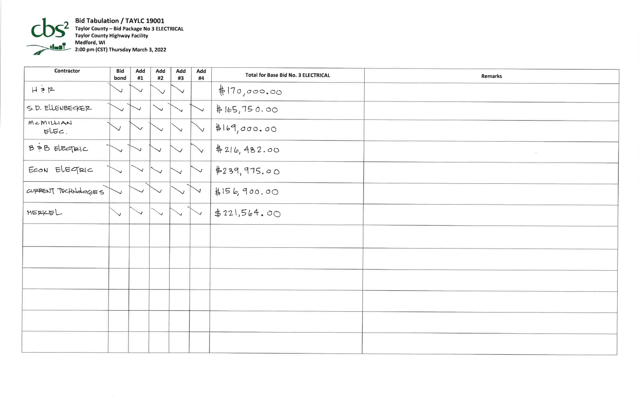

Bid Tabulation / TAYLC 19001<br>Taylor County – Bid Package No 3 ELECTRICAL<br>Taylor County Highway Facility<br>Medford, WI<br>2:00 pm (CST) Thursday March 3, 2022

| <b>Contractor</b>    | <b>Bid</b><br>bond | Add<br>#1 | Add<br>#2    | Add<br>#3 | Add<br>#4 | <b>Total for Base Bid No. 3 ELECTRICAL</b> | Remarks                     |
|----------------------|--------------------|-----------|--------------|-----------|-----------|--------------------------------------------|-----------------------------|
| $H \geq R$           | $\vee$             |           | $\checkmark$ |           |           | #170,000.00                                |                             |
| S.D. ELLENBECKER     | $\checkmark$       |           | $\sim$       |           |           | # 165, 750.00                              |                             |
| M < M1<br>$EUEC$ .   |                    |           |              |           |           | #169,000.00                                |                             |
| B = B ELECTRIC       |                    |           |              |           |           | 4216, 482.00                               | $\mathcal{L}^{\mathcal{L}}$ |
| ECON ELECTRIC        |                    |           |              |           |           | #239,975.00                                |                             |
| CUPPENT TECHNOLOGIES |                    |           |              |           |           | 4156,900.00                                |                             |
| HERKEL               | $\searrow$         |           | $\searrow$   |           |           | \$221,564.00                               |                             |
|                      |                    |           |              |           |           |                                            |                             |
|                      |                    |           |              |           |           |                                            |                             |
|                      |                    |           |              |           |           |                                            |                             |
|                      |                    |           |              |           |           |                                            |                             |
|                      |                    |           |              |           |           |                                            |                             |
|                      |                    |           |              |           |           |                                            |                             |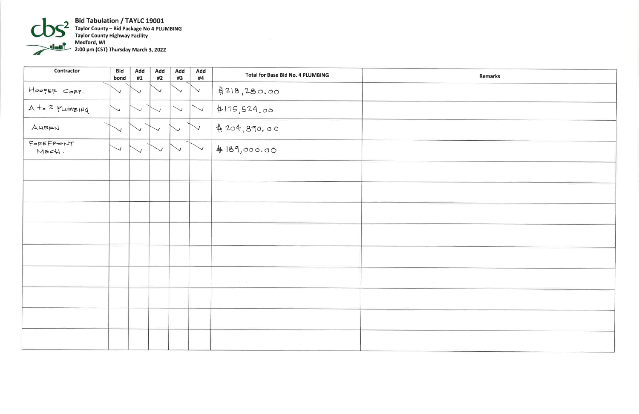

Bid Tabulation / TAYLC 19001<br>Taylor County – Bid Package No 4 PLUMBING<br>Taylor County Highway Facility<br>Medford, WI<br>2:00 pm (CST) Thursday March 3, 2022

| <b>Contractor</b>  | <b>Bid</b><br>bond | Add<br>#1 | <b>Add</b><br>#2 | Add<br>#3  | Add<br>#4    | <b>Total for Base Bid No. 4 PLUMBING</b> |                |
|--------------------|--------------------|-----------|------------------|------------|--------------|------------------------------------------|----------------|
| HoopER CORP.       | $\vee$             |           | $\checkmark$     |            | $\checkmark$ | 4218,280.00                              |                |
| A to 2 PLUMBING    | $\checkmark$       |           |                  | $\searrow$ | $\searrow$   | #175,524.00                              |                |
| AHERN              | ◡                  |           |                  |            |              | 4204,890.00                              |                |
| FOREFRONT<br>MECH. |                    |           |                  |            |              | #189,000.00                              |                |
|                    |                    |           |                  |            |              |                                          |                |
|                    |                    |           |                  |            |              |                                          |                |
|                    |                    |           |                  |            |              |                                          |                |
|                    |                    |           |                  |            |              |                                          |                |
|                    |                    |           |                  |            |              |                                          |                |
|                    |                    |           |                  |            |              | $\sim$ $ \times$                         | <b>COLLEGE</b> |
|                    |                    |           |                  |            |              |                                          |                |
|                    |                    |           |                  |            |              |                                          |                |
|                    |                    |           |                  |            |              |                                          |                |

 $\sim$ 

| Remarks |  |
|---------|--|
|         |  |
|         |  |
|         |  |
|         |  |
|         |  |
|         |  |
|         |  |
|         |  |
|         |  |
|         |  |
|         |  |
|         |  |
|         |  |
|         |  |
|         |  |
|         |  |
|         |  |
|         |  |
|         |  |
|         |  |
|         |  |
|         |  |
|         |  |
|         |  |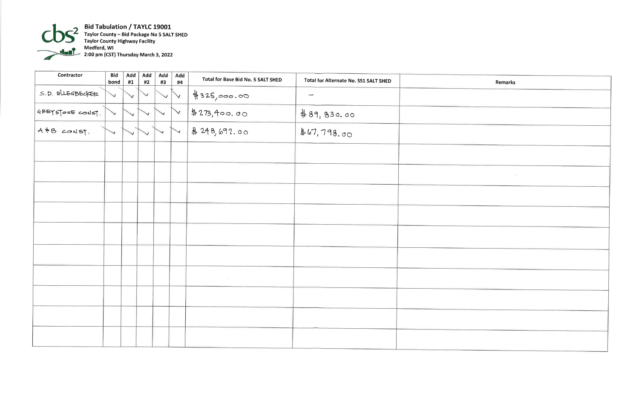

**Bid Tabulation / TAYLC 19001**<br>Taylor County – Bid Package No 5 SALT SHED<br>Taylor County Highway Facility<br>Medford, WI<br>2:00 pm (CST) Thursday March 3, 2022

| Contractor       | <b>Bid</b><br>bond | Add<br>#1 | Add<br>#2 | Add<br>#3 | Add<br>#4 | Total for Base Bid No. 5 SALT SHED | Total for Alternate No. SS1 SALT SHED |                |
|------------------|--------------------|-----------|-----------|-----------|-----------|------------------------------------|---------------------------------------|----------------|
| S.D. ELLENBECKER |                    |           |           |           | ↘         | #325,000.00                        | $\overline{\phantom{a}}$              |                |
| GREYSTONE CONST. |                    |           |           |           | ↘         | \$273,400.00                       | #89,830.00                            |                |
| A = B CONST.     |                    |           |           |           |           | #248,692.00                        | \$67,798.00                           |                |
|                  |                    |           |           |           |           |                                    |                                       |                |
|                  |                    |           |           |           |           |                                    |                                       |                |
|                  |                    |           |           |           |           |                                    |                                       |                |
|                  |                    |           |           |           |           |                                    |                                       |                |
|                  |                    |           |           |           |           |                                    |                                       |                |
|                  |                    |           |           |           |           |                                    |                                       |                |
|                  |                    |           |           |           |           | ACT                                |                                       |                |
|                  |                    |           |           |           |           |                                    |                                       | <b>Service</b> |
|                  |                    |           |           |           |           |                                    |                                       |                |
|                  |                    |           |           |           |           |                                    |                                       |                |

| <b>Remarks</b> |  |
|----------------|--|
|                |  |
|                |  |
|                |  |
|                |  |
|                |  |
| ×,             |  |
|                |  |
|                |  |
| I)             |  |
|                |  |
|                |  |
|                |  |
|                |  |
|                |  |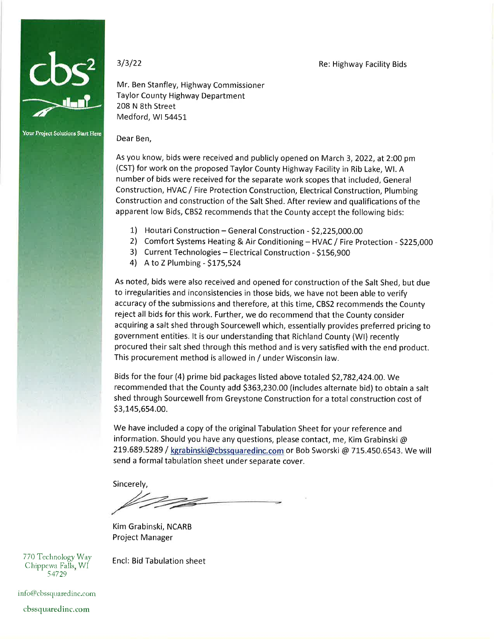

Your Project Solutions Start Here

 $3/3/22$ 

Mr. Ben Stanfley, Highway Commissioner Taylor County Highway Department 208 N 8th Street Medford, WI 54451

## Dear Ben,

As you know, bids were received and publicly opened on March 3, 2022, at 2:00 pm (CST) for work on the proposed Taylor County Highway Facility in Rib Lake, WI. A number of bids were received for the separate work scopes that included, General Construction, HVAC / Fire Protection Construction, Electrical Construction, Plumbing Construction and construction of the Salt Shed. After review and qualifications of the apparent low Bids, CBS2 recommends that the County accept the following bids:

- 1) Houtari Construction General Construction \$2,225,000.00
- 2) Comfort Systems Heating & Air Conditioning HVAC / Fire Protection \$225,000

Re: Highway Facility Bids

- 3) Current Technologies -- Electrical Construction \$156,900
- 4) A to Z Plumbing \$175,524

As noted, bids were also received and opened for construction of the Salt Shed, but due to irregularities and inconsistencies in those bids, we have not been able to verify accuracy of the submissions and therefore, at this time, CBS2 recommends the County reject all bids for this work. Further, we do recommend that the County consider acquiring a salt shed through Sourcewell which, essentially provides preferred pricing to government entities. It is our understanding that Richland County (WI) recently procured their salt shed through this method and is very satisfied with the end product. This procurement method is allowed in / under Wisconsin law.

Bids for the four (4) prime bid packages listed above totaled \$2,782,424.00. We recommended that the County add \$363,230.00 (includes alternate bid) to obtain a salt shed through Sourcewell from Greystone Construction for a total construction cost of \$3,145,654.00.

We have included a copy of the original Tabulation Sheet for your reference and information. Should you have any questions, please contact, me, Kim Grabinski  $\omega$ 219.689.5289 / kgrabinski@cbssquaredinc.com or Bob Sworski @ 715.450.6543. We will send a formal tabulation sheet under separate cover.

Sincerely,

Kim Grabinski, NCARB Project Manager

770 Technology Way Chippewa Falls, WI 54729

**Encl: Bid Tabulation sheet** 

info@cbssquaredinc.com

cbssquaredinc.com